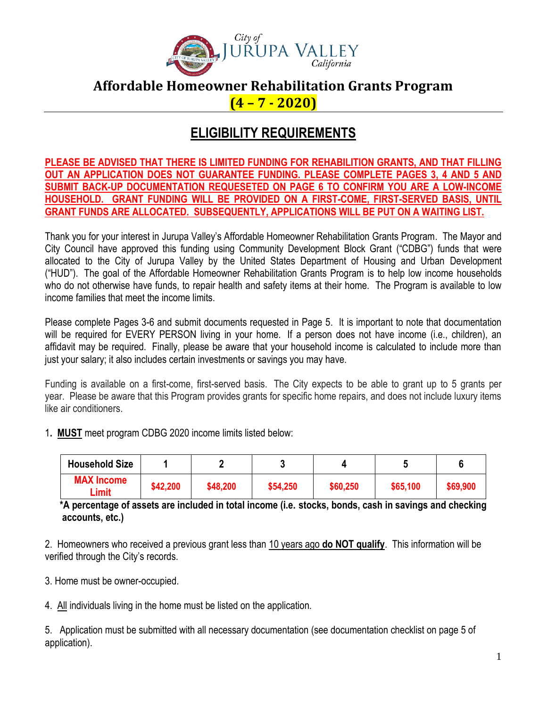

### **Affordable Homeowner Rehabilitation Grants Program (4 – 7 - 2020)**

## **ELIGIBILITY REQUIREMENTS**

**PLEASE BE ADVISED THAT THERE IS LIMITED FUNDING FOR REHABILITION GRANTS, AND THAT FILLING OUT AN APPLICATION DOES NOT GUARANTEE FUNDING. PLEASE COMPLETE PAGES 3, 4 AND 5 AND SUBMIT BACK-UP DOCUMENTATION REQUESETED ON PAGE 6 TO CONFIRM YOU ARE A LOW-INCOME HOUSEHOLD. GRANT FUNDING WILL BE PROVIDED ON A FIRST-COME, FIRST-SERVED BASIS, UNTIL GRANT FUNDS ARE ALLOCATED. SUBSEQUENTLY, APPLICATIONS WILL BE PUT ON A WAITING LIST.**

Thank you for your interest in Jurupa Valley's Affordable Homeowner Rehabilitation Grants Program. The Mayor and City Council have approved this funding using Community Development Block Grant ("CDBG") funds that were allocated to the City of Jurupa Valley by the United States Department of Housing and Urban Development ("HUD"). The goal of the Affordable Homeowner Rehabilitation Grants Program is to help low income households who do not otherwise have funds, to repair health and safety items at their home. The Program is available to low income families that meet the income limits.

Please complete Pages 3-6 and submit documents requested in Page 5. It is important to note that documentation will be required for EVERY PERSON living in your home. If a person does not have income (i.e., children), an affidavit may be required. Finally, please be aware that your household income is calculated to include more than just your salary; it also includes certain investments or savings you may have.

Funding is available on a first-come, first-served basis. The City expects to be able to grant up to 5 grants per year. Please be aware that this Program provides grants for specific home repairs, and does not include luxury items like air conditioners.

1**. MUST** meet program CDBG 2020 income limits listed below:

| <b>Household Size</b>             |          |          |          |          |          |          |
|-----------------------------------|----------|----------|----------|----------|----------|----------|
| <b>MAX Income</b><br><b>Limit</b> | \$42,200 | \$48,200 | \$54,250 | \$60,250 | \$65,100 | \$69,900 |

 **\*A percentage of assets are included in total income (i.e. stocks, bonds, cash in savings and checking accounts, etc.)**

2. Homeowners who received a previous grant less than 10 years ago **do NOT qualify**. This information will be verified through the City's records.

3. Home must be owner-occupied.

4. All individuals living in the home must be listed on the application.

5. Application must be submitted with all necessary documentation (see documentation checklist on page 5 of application).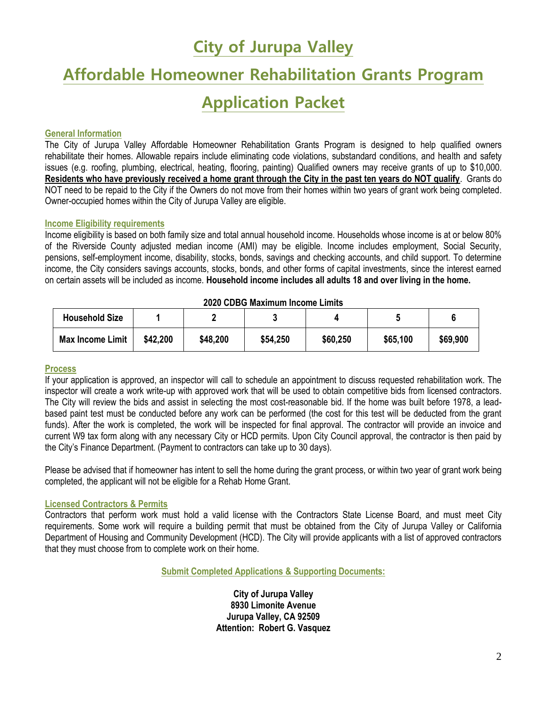## **City of Jurupa Valley**

# **Affordable Homeowner Rehabilitation Grants Program**

# **Application Packet**

#### **General Information**

The City of Jurupa Valley Affordable Homeowner Rehabilitation Grants Program is designed to help qualified owners rehabilitate their homes. Allowable repairs include eliminating code violations, substandard conditions, and health and safety issues (e.g. roofing, plumbing, electrical, heating, flooring, painting) Qualified owners may receive grants of up to \$10,000. **Residents who have previously received a home grant through the City in the past ten years do NOT qualify**. Grants do NOT need to be repaid to the City if the Owners do not move from their homes within two years of grant work being completed. Owner-occupied homes within the City of Jurupa Valley are eligible.

#### **Income Eligibility requirements**

Income eligibility is based on both family size and total annual household income. Households whose income is at or below 80% of the Riverside County adjusted median income (AMI) may be eligible. Income includes employment, Social Security, pensions, self-employment income, disability, stocks, bonds, savings and checking accounts, and child support. To determine income, the City considers savings accounts, stocks, bonds, and other forms of capital investments, since the interest earned on certain assets will be included as income. **Household income includes all adults 18 and over living in the home.** 

| ZUZU CIJING MAXILIUM INCUME LIMIUS |          |          |          |          |          |          |
|------------------------------------|----------|----------|----------|----------|----------|----------|
| <b>Household Size</b>              |          |          |          |          |          |          |
| <b>Max Income Limit</b>            | \$42,200 | \$48,200 | \$54,250 | \$60,250 | \$65,100 | \$69,900 |

#### **2020 CDBG Maximum Income Limits**

#### **Process**

If your application is approved, an inspector will call to schedule an appointment to discuss requested rehabilitation work. The inspector will create a work write-up with approved work that will be used to obtain competitive bids from licensed contractors. The City will review the bids and assist in selecting the most cost-reasonable bid. If the home was built before 1978, a leadbased paint test must be conducted before any work can be performed (the cost for this test will be deducted from the grant funds). After the work is completed, the work will be inspected for final approval. The contractor will provide an invoice and current W9 tax form along with any necessary City or HCD permits. Upon City Council approval, the contractor is then paid by the City's Finance Department. (Payment to contractors can take up to 30 days).

Please be advised that if homeowner has intent to sell the home during the grant process, or within two year of grant work being completed, the applicant will not be eligible for a Rehab Home Grant.

#### **Licensed Contractors & Permits**

Contractors that perform work must hold a valid license with the Contractors State License Board, and must meet City requirements. Some work will require a building permit that must be obtained from the City of Jurupa Valley or California Department of Housing and Community Development (HCD). The City will provide applicants with a list of approved contractors that they must choose from to complete work on their home.

**Submit Completed Applications & Supporting Documents:**

**City of Jurupa Valley 8930 Limonite Avenue Jurupa Valley, CA 92509 Attention: Robert G. Vasquez**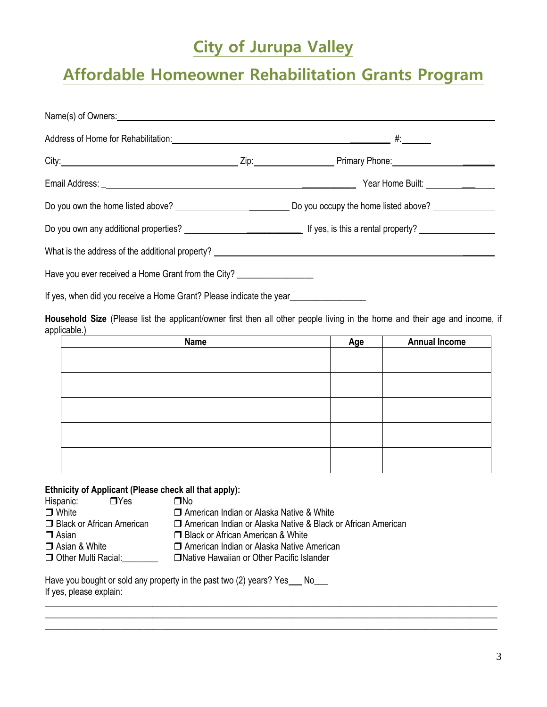# **City of Jurupa Valley**

# **Affordable Homeowner Rehabilitation Grants Program**

| Address of Home for Rehabilitation: 100 million and the set of the set of the set of the set of the set of the set of the set of the set of the set of the set of the set of the set of the set of the set of the set of the s |  |  |  |  |
|--------------------------------------------------------------------------------------------------------------------------------------------------------------------------------------------------------------------------------|--|--|--|--|
|                                                                                                                                                                                                                                |  |  |  |  |
|                                                                                                                                                                                                                                |  |  |  |  |
|                                                                                                                                                                                                                                |  |  |  |  |
|                                                                                                                                                                                                                                |  |  |  |  |
|                                                                                                                                                                                                                                |  |  |  |  |
| Have you ever received a Home Grant from the City?                                                                                                                                                                             |  |  |  |  |
| If yes, when did you receive a Home Grant? Please indicate the year_                                                                                                                                                           |  |  |  |  |

**Household Size** (Please list the applicant/owner first then all other people living in the home and their age and income, if applicable.)

| <b>Name</b> | Age | <b>Annual Income</b> |
|-------------|-----|----------------------|
|             |     |                      |
|             |     |                      |
|             |     |                      |
|             |     |                      |
|             |     |                      |
|             |     |                      |
|             |     |                      |
|             |     |                      |
|             |     |                      |
|             |     |                      |

 $\_$  ,  $\_$  ,  $\_$  ,  $\_$  ,  $\_$  ,  $\_$  ,  $\_$  ,  $\_$  ,  $\_$  ,  $\_$  ,  $\_$  ,  $\_$  ,  $\_$  ,  $\_$  ,  $\_$  ,  $\_$  ,  $\_$  ,  $\_$  ,  $\_$  ,  $\_$  ,  $\_$  ,  $\_$  ,  $\_$  ,  $\_$  ,  $\_$  ,  $\_$  ,  $\_$  ,  $\_$  ,  $\_$  ,  $\_$  ,  $\_$  ,  $\_$  ,  $\_$  ,  $\_$  ,  $\_$  ,  $\_$  ,  $\_$  , \_\_\_\_\_\_\_\_\_\_\_\_\_\_\_\_\_\_\_\_\_\_\_\_\_\_\_\_\_\_\_\_\_\_\_\_\_\_\_\_\_\_\_\_\_\_\_\_\_\_\_\_\_\_\_\_\_\_\_\_\_\_\_\_\_\_\_\_\_\_\_\_\_\_\_\_\_\_\_\_\_\_\_\_\_\_\_\_\_\_\_\_\_\_\_\_\_\_\_\_\_ \_\_\_\_\_\_\_\_\_\_\_\_\_\_\_\_\_\_\_\_\_\_\_\_\_\_\_\_\_\_\_\_\_\_\_\_\_\_\_\_\_\_\_\_\_\_\_\_\_\_\_\_\_\_\_\_\_\_\_\_\_\_\_\_\_\_\_\_\_\_\_\_\_\_\_\_\_\_\_\_\_\_\_\_\_\_\_\_\_\_\_\_\_\_\_\_\_\_\_\_\_

#### **Ethnicity of Applicant (Please check all that apply):**

| Hispanic:            | $\Box$ Yes                  | ΠNο                                                            |  |
|----------------------|-----------------------------|----------------------------------------------------------------|--|
| $\Box$ White         |                             | □ American Indian or Alaska Native & White                     |  |
|                      | □ Black or African American | □ American Indian or Alaska Native & Black or African American |  |
| $\Box$ Asian         |                             | □ Black or African American & White                            |  |
| $\Box$ Asian & White |                             | □ American Indian or Alaska Native American                    |  |
| Other Multi Racial:  |                             | □ Native Hawaiian or Other Pacific Islander                    |  |

| Have you bought or sold any property in the past two (2) years? Yes |  |
|---------------------------------------------------------------------|--|
| If yes, please explain:                                             |  |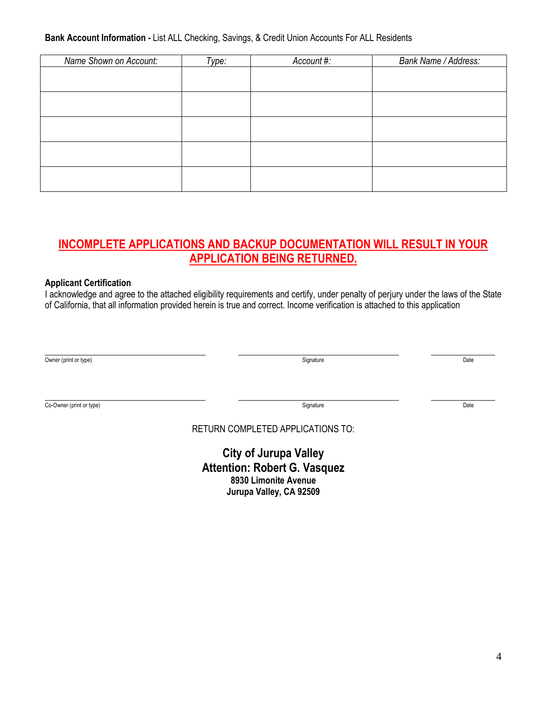#### **Bank Account Information -** List ALL Checking, Savings, & Credit Union Accounts For ALL Residents

| Name Shown on Account: | Type: | Account #: | Bank Name / Address: |
|------------------------|-------|------------|----------------------|
|                        |       |            |                      |
|                        |       |            |                      |
|                        |       |            |                      |
|                        |       |            |                      |
|                        |       |            |                      |
|                        |       |            |                      |
|                        |       |            |                      |
|                        |       |            |                      |
|                        |       |            |                      |
|                        |       |            |                      |

### **INCOMPLETE APPLICATIONS AND BACKUP DOCUMENTATION WILL RESULT IN YOUR APPLICATION BEING RETURNED.**

#### **Applicant Certification**

I acknowledge and agree to the attached eligibility requirements and certify, under penalty of perjury under the laws of the State of California, that all information provided herein is true and correct. Income verification is attached to this application

| $\sim$<br>Owner (print<br>nt or type) | Signature | Date |
|---------------------------------------|-----------|------|

Co-Owner (print or type) Date Date Co-Owner (print or type) Date

RETURN COMPLETED APPLICATIONS TO:

**City of Jurupa Valley Attention: Robert G. Vasquez 8930 Limonite Avenue Jurupa Valley, CA 92509**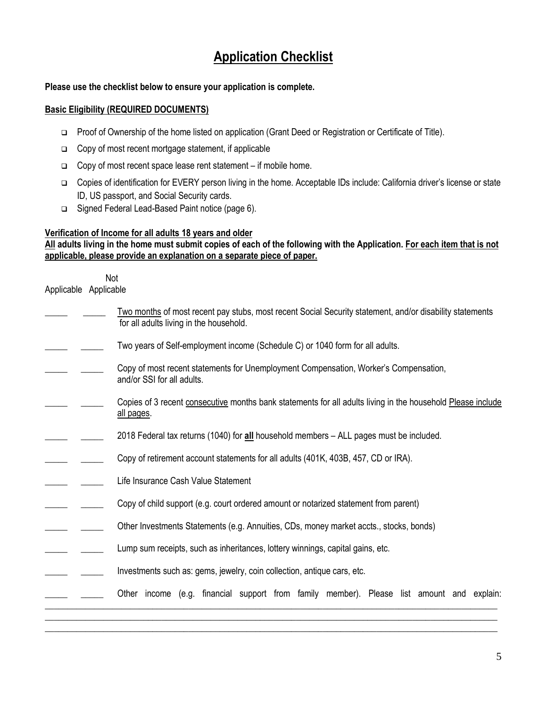## **Application Checklist**

#### **Please use the checklist below to ensure your application is complete.**

#### **Basic Eligibility (REQUIRED DOCUMENTS)**

- □ Proof of Ownership of the home listed on application (Grant Deed or Registration or Certificate of Title).
- $\Box$  Copy of most recent mortgage statement, if applicable
- $\Box$  Copy of most recent space lease rent statement if mobile home.
- Copies of identification for EVERY person living in the home. Acceptable IDs include: California driver's license or state ID, US passport, and Social Security cards.
- □ Signed Federal Lead-Based Paint notice (page 6).

#### **Verification of Income for all adults 18 years and older**

#### **All adults living in the home must submit copies of each of the following with the Application. For each item that is not applicable, please provide an explanation on a separate piece of paper.**

 Not Applicable Applicable

| Two months of most recent pay stubs, most recent Social Security statement, and/or disability statements |
|----------------------------------------------------------------------------------------------------------|
| for all adults living in the household.                                                                  |

- Two years of Self-employment income (Schedule C) or 1040 form for all adults.
- \_\_\_\_\_ \_\_\_\_\_ Copy of most recent statements for Unemployment Compensation, Worker's Compensation, and/or SSI for all adults.
- Copies of 3 recent consecutive months bank statements for all adults living in the household Please include all pages.
- \_\_\_\_\_ \_\_\_\_\_ 2018 Federal tax returns (1040) for **all** household members ALL pages must be included.
- Copy of retirement account statements for all adults (401K, 403B, 457, CD or IRA).
- \_\_\_\_\_ \_\_\_\_\_ Life Insurance Cash Value Statement
- $\qquad \qquad \_ \text{1}$  Copy of child support (e.g. court ordered amount or notarized statement from parent)
- \_\_\_\_\_ \_\_\_\_\_ Other Investments Statements (e.g. Annuities, CDs, money market accts., stocks, bonds)
- **Lump sum receipts, such as inheritances, lottery winnings, capital gains, etc.**
- Investments such as: gems, jewelry, coin collection, antique cars, etc.
	- \_\_\_\_\_ \_\_\_\_\_ Other income (e.g. financial support from family member). Please list amount and explain:

\_\_\_\_\_\_\_\_\_\_\_\_\_\_\_\_\_\_\_\_\_\_\_\_\_\_\_\_\_\_\_\_\_\_\_\_\_\_\_\_\_\_\_\_\_\_\_\_\_\_\_\_\_\_\_\_\_\_\_\_\_\_\_\_\_\_\_\_\_\_\_\_\_\_\_\_\_\_\_\_\_\_\_\_\_\_\_\_\_\_\_\_\_\_\_\_\_\_\_\_\_ \_\_\_\_\_\_\_\_\_\_\_\_\_\_\_\_\_\_\_\_\_\_\_\_\_\_\_\_\_\_\_\_\_\_\_\_\_\_\_\_\_\_\_\_\_\_\_\_\_\_\_\_\_\_\_\_\_\_\_\_\_\_\_\_\_\_\_\_\_\_\_\_\_\_\_\_\_\_\_\_\_\_\_\_\_\_\_\_\_\_\_\_\_\_\_\_\_\_\_\_\_ \_\_\_\_\_\_\_\_\_\_\_\_\_\_\_\_\_\_\_\_\_\_\_\_\_\_\_\_\_\_\_\_\_\_\_\_\_\_\_\_\_\_\_\_\_\_\_\_\_\_\_\_\_\_\_\_\_\_\_\_\_\_\_\_\_\_\_\_\_\_\_\_\_\_\_\_\_\_\_\_\_\_\_\_\_\_\_\_\_\_\_\_\_\_\_\_\_\_\_\_\_